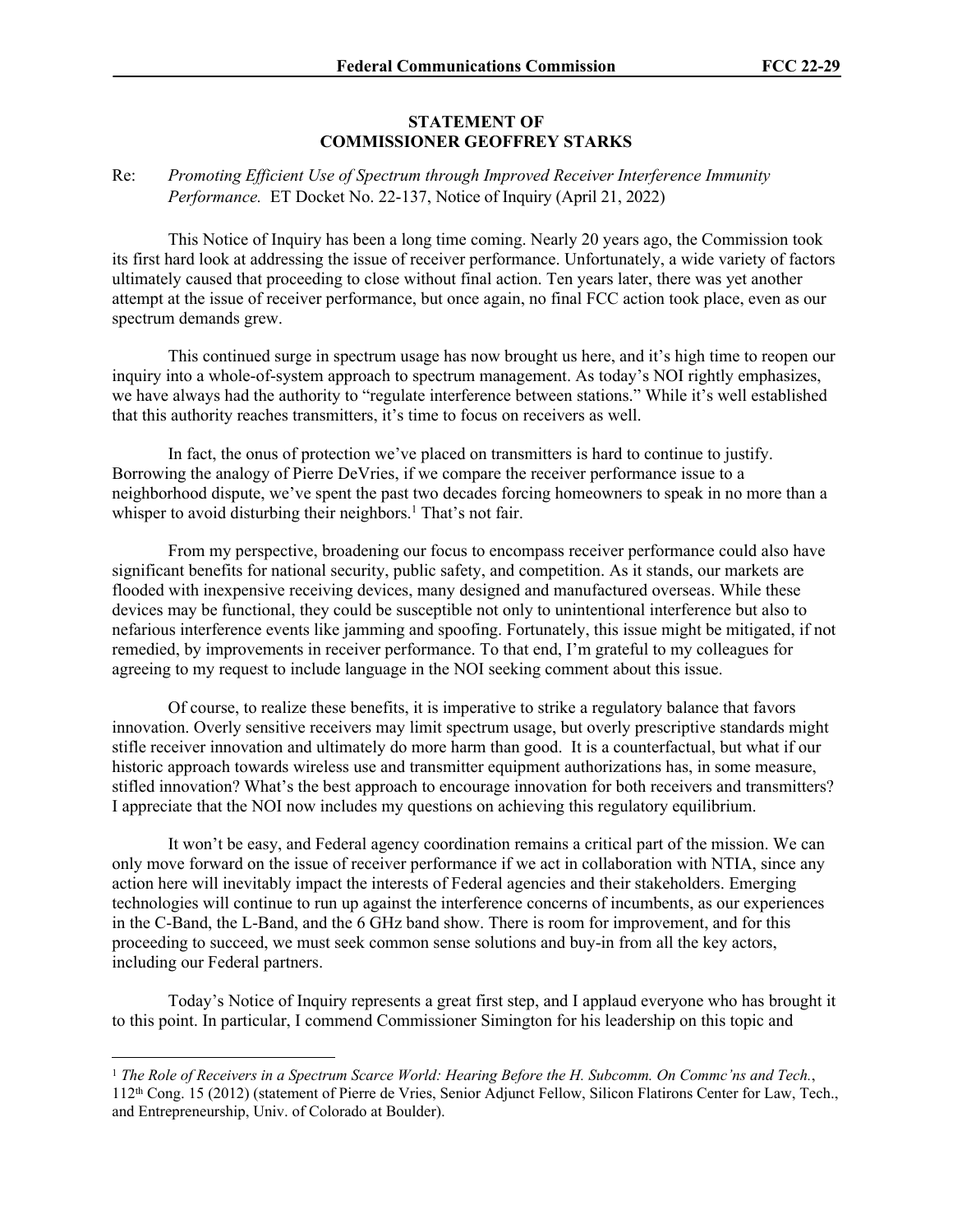## **STATEMENT OF COMMISSIONER GEOFFREY STARKS**

## Re: *Promoting Efficient Use of Spectrum through Improved Receiver Interference Immunity Performance.* ET Docket No. 22-137, Notice of Inquiry (April 21, 2022)

This Notice of Inquiry has been a long time coming. Nearly 20 years ago, the Commission took its first hard look at addressing the issue of receiver performance. Unfortunately, a wide variety of factors ultimately caused that proceeding to close without final action. Ten years later, there was yet another attempt at the issue of receiver performance, but once again, no final FCC action took place, even as our spectrum demands grew.

This continued surge in spectrum usage has now brought us here, and it's high time to reopen our inquiry into a whole-of-system approach to spectrum management. As today's NOI rightly emphasizes, we have always had the authority to "regulate interference between stations." While it's well established that this authority reaches transmitters, it's time to focus on receivers as well.

In fact, the onus of protection we've placed on transmitters is hard to continue to justify. Borrowing the analogy of Pierre DeVries, if we compare the receiver performance issue to a neighborhood dispute, we've spent the past two decades forcing homeowners to speak in no more than a whisper to avoid disturbing their neighbors.<sup>1</sup> That's not fair.

From my perspective, broadening our focus to encompass receiver performance could also have significant benefits for national security, public safety, and competition. As it stands, our markets are flooded with inexpensive receiving devices, many designed and manufactured overseas. While these devices may be functional, they could be susceptible not only to unintentional interference but also to nefarious interference events like jamming and spoofing. Fortunately, this issue might be mitigated, if not remedied, by improvements in receiver performance. To that end, I'm grateful to my colleagues for agreeing to my request to include language in the NOI seeking comment about this issue.

Of course, to realize these benefits, it is imperative to strike a regulatory balance that favors innovation. Overly sensitive receivers may limit spectrum usage, but overly prescriptive standards might stifle receiver innovation and ultimately do more harm than good. It is a counterfactual, but what if our historic approach towards wireless use and transmitter equipment authorizations has, in some measure, stifled innovation? What's the best approach to encourage innovation for both receivers and transmitters? I appreciate that the NOI now includes my questions on achieving this regulatory equilibrium.

It won't be easy, and Federal agency coordination remains a critical part of the mission. We can only move forward on the issue of receiver performance if we act in collaboration with NTIA, since any action here will inevitably impact the interests of Federal agencies and their stakeholders. Emerging technologies will continue to run up against the interference concerns of incumbents, as our experiences in the C-Band, the L-Band, and the 6 GHz band show. There is room for improvement, and for this proceeding to succeed, we must seek common sense solutions and buy-in from all the key actors, including our Federal partners.

Today's Notice of Inquiry represents a great first step, and I applaud everyone who has brought it to this point. In particular, I commend Commissioner Simington for his leadership on this topic and

<sup>1</sup> *The Role of Receivers in a Spectrum Scarce World: Hearing Before the H. Subcomm. On Commc'ns and Tech.*, 112th Cong. 15 (2012) (statement of Pierre de Vries, Senior Adjunct Fellow, Silicon Flatirons Center for Law, Tech., and Entrepreneurship, Univ. of Colorado at Boulder).